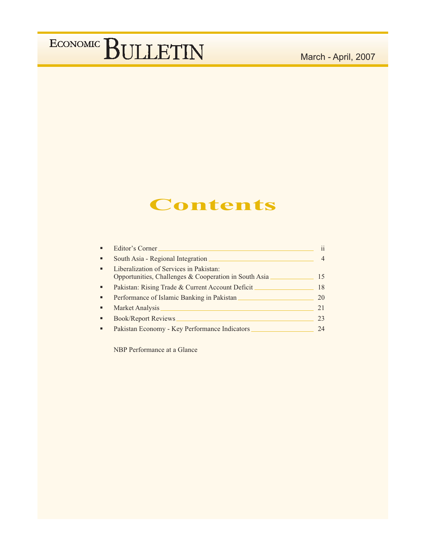## March - April, 2007

## **Contents**

|   | Editor's Corner                                                                                  | 11 |
|---|--------------------------------------------------------------------------------------------------|----|
| ٠ | South Asia - Regional Integration                                                                |    |
| ٠ | Liberalization of Services in Pakistan:<br>Opportunities, Challenges & Cooperation in South Asia | 15 |
| ٠ | Pakistan: Rising Trade & Current Account Deficit                                                 | 18 |
| п | Performance of Islamic Banking in Pakistan                                                       | 20 |
|   | Market Analysis                                                                                  | 21 |
| п | <b>Book/Report Reviews</b>                                                                       | 23 |
| п | Pakistan Economy - Key Performance Indicators                                                    | 24 |

NBP Performance at a Glance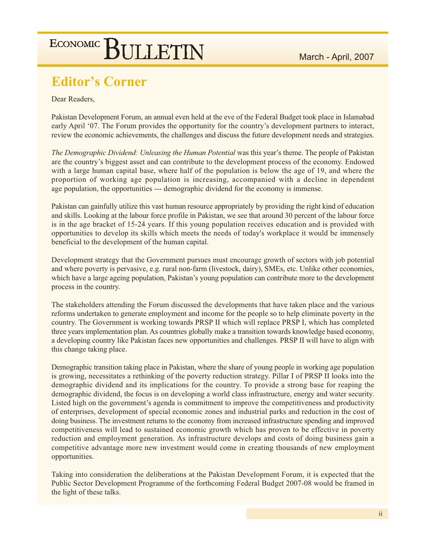## **Editor's Corner**

Dear Readers.

Pakistan Development Forum, an annual even held at the eve of the Federal Budget took place in Islamabad early April '07. The Forum provides the opportunity for the country's development partners to interact, review the economic achievements, the challenges and discuss the future development needs and strategies.

The Demographic Dividend: Unleasing the Human Potential was this year's theme. The people of Pakistan are the country's biggest asset and can contribute to the development process of the economy. Endowed with a large human capital base, where half of the population is below the age of 19, and where the proportion of working age population is increasing, accompanied with a decline in dependent age population, the opportunities --- demographic dividend for the economy is immense.

Pakistan can gainfully utilize this vast human resource appropriately by providing the right kind of education and skills. Looking at the labour force profile in Pakistan, we see that around 30 percent of the labour force is in the age bracket of 15-24 years. If this young population receives education and is provided with opportunities to develop its skills which meets the needs of today's workplace it would be immensely beneficial to the development of the human capital.

Development strategy that the Government pursues must encourage growth of sectors with job potential and where poverty is pervasive, e.g. rural non-farm (livestock, dairy), SMEs, etc. Unlike other economies, which have a large ageing population, Pakistan's young population can contribute more to the development process in the country.

The stakeholders attending the Forum discussed the developments that have taken place and the various reforms undertaken to generate employment and income for the people so to help eliminate poverty in the country. The Government is working towards PRSP II which will replace PRSP I, which has completed three years implementation plan. As countries globally make a transition towards knowledge based economy, a developing country like Pakistan faces new opportunities and challenges. PRSP II will have to align with this change taking place.

Demographic transition taking place in Pakistan, where the share of young people in working age population is growing, necessitates a rethinking of the poverty reduction strategy. Pillar I of PRSP II looks into the demographic dividend and its implications for the country. To provide a strong base for reaping the demographic dividend, the focus is on developing a world class infrastructure, energy and water security. Listed high on the government's agenda is commitment to improve the competitiveness and productivity of enterprises, development of special economic zones and industrial parks and reduction in the cost of doing business. The investment returns to the economy from increased infrastructure spending and improved competitiveness will lead to sustained economic growth which has proven to be effective in poverty reduction and employment generation. As infrastructure develops and costs of doing business gain a competitive advantage more new investment would come in creating thousands of new employment opportunities.

Taking into consideration the deliberations at the Pakistan Development Forum, it is expected that the Public Sector Development Programme of the forthcoming Federal Budget 2007-08 would be framed in the light of these talks.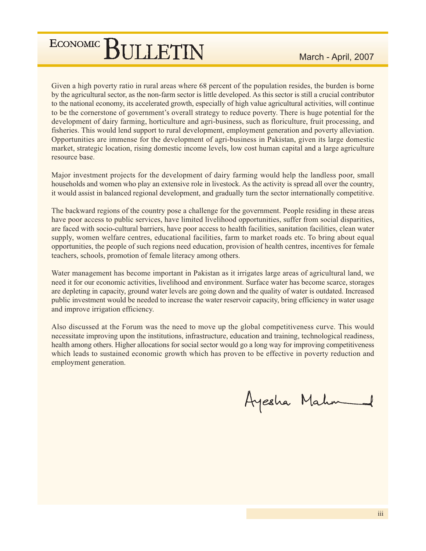Given a high poverty ratio in rural areas where 68 percent of the population resides, the burden is borne by the agricultural sector, as the non-farm sector is little developed. As this sector is still a crucial contributor to the national economy, its accelerated growth, especially of high value agricultural activities, will continue to be the cornerstone of government's overall strategy to reduce poverty. There is huge potential for the development of dairy farming, horticulture and agri-business, such as floriculture, fruit processing, and fisheries. This would lend support to rural development, employment generation and poverty alleviation. Opportunities are immense for the development of agri-business in Pakistan, given its large domestic market, strategic location, rising domestic income levels, low cost human capital and a large agriculture resource base.

Major investment projects for the development of dairy farming would help the landless poor, small households and women who play an extensive role in livestock. As the activity is spread all over the country, it would assist in balanced regional development, and gradually turn the sector internationally competitive.

The backward regions of the country pose a challenge for the government. People residing in these areas have poor access to public services, have limited livelihood opportunities, suffer from social disparities, are faced with socio-cultural barriers, have poor access to health facilities, sanitation facilities, clean water supply, women welfare centres, educational facilities, farm to market roads etc. To bring about equal opportunities, the people of such regions need education, provision of health centres, incentives for female teachers, schools, promotion of female literacy among others.

Water management has become important in Pakistan as it irrigates large areas of agricultural land, we need it for our economic activities, livelihood and environment. Surface water has become scarce, storages are depleting in capacity, ground water levels are going down and the quality of water is outdated. Increased public investment would be needed to increase the water reservoir capacity, bring efficiency in water usage and improve irrigation efficiency.

Also discussed at the Forum was the need to move up the global competitiveness curve. This would necessitate improving upon the institutions, infrastructure, education and training, technological readiness, health among others. Higher allocations for social sector would go a long way for improving competitiveness which leads to sustained economic growth which has proven to be effective in poverty reduction and employment generation.

Ayesha Mahn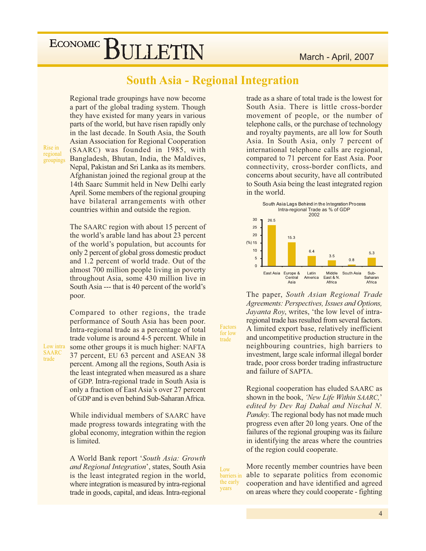### March - April, 2007

# ECONOMIC BULLETIN

**South Asia - Regional Integration** 

Regional trade groupings have now become a part of the global trading system. Though they have existed for many years in various parts of the world, but have risen rapidly only in the last decade. In South Asia, the South Asian Association for Regional Cooperation (SAARC) was founded in 1985, with Bangladesh, Bhutan, India, the Maldives, Nepal, Pakistan and Sri Lanka as its members. Afghanistan joined the regional group at the 14th Saarc Summit held in New Delhi early April. Some members of the regional grouping have bilateral arrangements with other countries within and outside the region.

The SAARC region with about 15 percent of the world's arable land has about 23 percent of the world's population, but accounts for only 2 percent of global gross domestic product and 1.2 percent of world trade. Out of the almost 700 million people living in poverty throughout Asia, some 430 million live in South Asia --- that is 40 percent of the world's poor.

Compared to other regions, the trade performance of South Asia has been poor. Intra-regional trade as a percentage of total trade volume is around 4-5 percent. While in some other groups it is much higher: NAFTA 37 percent, EU 63 percent and ASEAN 38 percent. Among all the regions, South Asia is the least integrated when measured as a share of GDP. Intra-regional trade in South Asia is only a fraction of East Asia's over 27 percent of GDP and is even behind Sub-Saharan Africa.

While individual members of SAARC have made progress towards integrating with the global economy, integration within the region is limited.

A World Bank report 'South Asia: Growth and Regional Integration', states, South Asia is the least integrated region in the world, where integration is measured by intra-regional trade in goods, capital, and ideas. Intra-regional

trade as a share of total trade is the lowest for South Asia. There is little cross-border movement of people, or the number of telephone calls, or the purchase of technology and royalty payments, are all low for South Asia. In South Asia, only 7 percent of international telephone calls are regional, compared to 71 percent for East Asia. Poor connectivity, cross-border conflicts, and concerns about security, have all contributed to South Asia being the least integrated region in the world.



The paper, South Asian Regional Trade Agreements: Perspectives, Issues and Options, Jayanta Roy, writes, 'the low level of intraregional trade has resulted from several factors. A limited export base, relatively inefficient and uncompetitive production structure in the neighbouring countries, high barriers to investment, large scale informal illegal border trade, poor cross border trading infrastructure and failure of SAPTA.

Regional cooperation has eluded SAARC as shown in the book, 'New Life Within SAARC,' edited by Dev Raj Dahal and Nischal N. *Pandey*. The regional body has not made much progress even after 20 long years. One of the failures of the regional grouping was its failure in identifying the areas where the countries of the region could cooperate.

Low barriers in the early years

Factors

for low

trade

More recently member countries have been able to separate politics from economic cooperation and have identified and agreed on areas where they could cooperate - fighting

Rise in regional groupings

Low intra

**SAARC** 

trade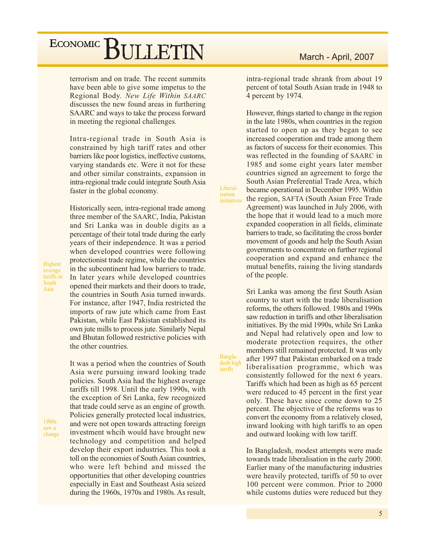terrorism and on trade. The recent summits have been able to give some impetus to the Regional Body. New Life Within SAARC discusses the new found areas in furthering SAARC and ways to take the process forward in meeting the regional challenges.

Intra-regional trade in South Asia is constrained by high tariff rates and other barriers like poor logistics, ineffective customs, varying standards etc. Were it not for these and other similar constraints, expansion in intra-regional trade could integrate South Asia faster in the global economy.

Historically seen, intra-regional trade among three member of the SAARC, India, Pakistan and Sri Lanka was in double digits as a percentage of their total trade during the early years of their independence. It was a period when developed countries were following protectionist trade regime, while the countries in the subcontinent had low barriers to trade. In later years while developed countries opened their markets and their doors to trade, the countries in South Asia turned inwards. For instance, after 1947, India restricted the imports of raw jute which came from East Pakistan, while East Pakistan established its own jute mills to process jute. Similarly Nepal and Bhutan followed restrictive policies with the other countries.

It was a period when the countries of South Asia were pursuing inward looking trade policies. South Asia had the highest average tariffs till 1998. Until the early 1990s, with the exception of Sri Lanka, few recognized that trade could serve as an engine of growth. Policies generally protected local industries. and were not open towards attracting foreign investment wheih would have brought new technology and competition and helped develop their export industries. This took a toll on the economies of South Asian countries, who were left behind and missed the opportunities that other developing countries especially in East and Southeast Asia seized during the 1960s, 1970s and 1980s. As result,

### March - April, 2007

intra-regional trade shrank from about 19 percent of total South Asian trade in 1948 to 4 percent by 1974.

However, things started to change in the region in the late 1980s, when countries in the region started to open up as they began to see increased cooperation and trade among them as factors of success for their economies. This was reflected in the founding of SAARC in 1985 and some eight years later member countries signed an agreement to forge the South Asian Preferential Trade Area, which became operational in December 1995. Within the region, SAFTA (South Asian Free Trade Agreement) was launched in July 2006, with the hope that it would lead to a much more expanded cooperation in all fields, eliminate barriers to trade, so facilitating the cross border movement of goods and help the South Asian governments to concentrate on further regional cooperation and expand and enhance the mutual benefits, raising the living standards of the people.

Liberal-

isation

initiatives

Bangla-<br>desh high

tariffs

Sri Lanka was among the first South Asian country to start with the trade liberalisation reforms, the others followed, 1980s and 1990s saw reduction in tariffs and other liberalisation initiatives. By the mid 1990s, while Sri Lanka and Nepal had relatively open and low to moderate protection requires, the other members still remained protected. It was only after 1997 that Pakistan embarked on a trade liberalisation programme, which was consistently followed for the next 6 years. Tariffs which had been as high as 65 percent were reduced to 45 percent in the first year only. These have since come down to 25 percent. The objective of the reforms was to convert the economy from a relatively closed, inward looking with high tariffs to an open and outward looking with low tariff.

In Bangladesh, modest attempts were made towards trade liberalisation in the early 2000. Earlier many of the manufacturing industries were heavily protected, tariffs of 50 to over 100 percent were common. Prior to 2000 while customs duties were reduced but they

Highest average tariffs in South Asia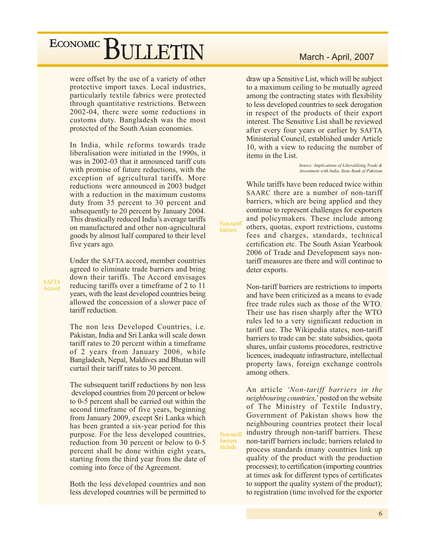## ECONOMIC<sup>]</sup> BULLETIN

were offset by the use of a variety of other protective import taxes. Local industries, particularly textile fabrics were protected through quantitative restrictions. Between 2002-04, there were some reductions in customs duty. Bangladesh was the most protected of the South Asian economies.

In India, while reforms towards trade liberalisation were initiated in the 1990s, it was in 2002-03 that it announced tariff cuts with promise of future reductions, with the exception of agricultural tariffs. More reductions were announced in 2003 budget with a reduction in the maximum customs duty from 35 percent to 30 percent and subsequently to 20 percent by January 2004. This drastically reduced India's average tariffs on manufactured and other non-agricultural goods by almost half compared to their level five years ago.

Under the SAFTA accord, member countries agreed to eliminate trade barriers and bring down their tariffs. The Accord envisages reducing tariffs over a timeframe of 2 to 11 years, with the least developed countries being allowed the concession of a slower pace of tariff reduction.

The non less Developed Countries, *i.e.* Pakistan, India and Sri Lanka will scale down tariff rates to 20 percent within a timeframe of 2 years from January 2006, while Bangladesh, Nepal, Maldives and Bhutan will curtail their tariff rates to 30 percent.

The subsequent tariff reductions by non less developed countries from 20 percent or below to 0-5 percent shall be carried out within the second timeframe of five years, beginning from January 2009, except Sri Lanka which has been granted a six-year period for this purpose. For the less developed countries, reduction from 30 percent or below to 0-5 percent shall be done within eight years, starting from the third year from the date of coming into force of the Agreement.

Both the less developed countries and non less developed countries will be permitted to

### March - April, 2007

draw up a Sensitive List, which will be subject to a maximum ceiling to be mutually agreed among the contracting states with flexibility to less developed countries to seek derogation in respect of the products of their export interest. The Sensitive List shall be reviewed after every four years or earlier by SAFTA Ministerial Council, established under Article 10, with a view to reducing the number of items in the List.

> Source: Implications of Liberalilzing Trade & Investment with India, State Bank of Pakistan

While tariffs have been reduced twice within SAARC there are a number of non-tariff barriers, which are being applied and they continue to represent challenges for exporters and policymakers. These include among others, quotas, export restrictions, customs fees and charges, standards, technical certification etc. The South Asian Yearbook 2006 of Trade and Development says nontariff measures are there and will continue to deter exports.

Non-tariff

barriers

Non-tarif

barriers

include

Non-tariff barriers are restrictions to imports and have been criticized as a means to evade free trade rules such as those of the WTO. Their use has risen sharply after the WTO rules led to a very significant reduction in tariff use. The Wikipedia states, non-tariff barriers to trade can be: state subsidies, quota shares, unfair customs procedures, restrictive licences, inadequate infrastructure, intellectual property laws, foreign exchange controls among others.

An article 'Non-tariff barriers in the neighbouring countries,' posted on the website of The Ministry of Textile Industry, Government of Pakistan shows how the neighbouring countries protect their local industry through non-tariff barriers. These non-tariff barriers include; barriers related to process standards (many countries link up) quality of the product with the production processes); to certification (importing countries at times ask for different types of certificates to support the quality system of the product); to registration (time involved for the exporter

**SAFTA** Accord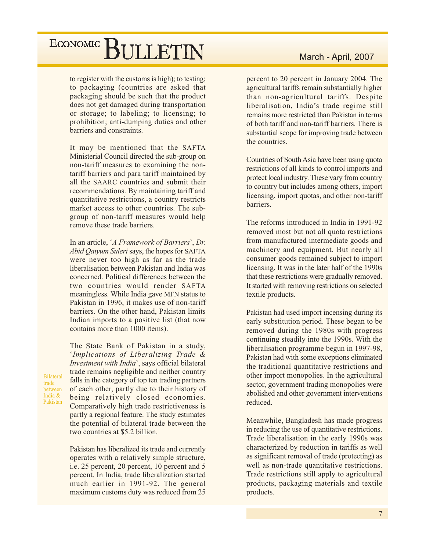to register with the customs is high); to testing; to packaging (countries are asked that packaging should be such that the product does not get damaged during transportation or storage; to labeling; to licensing; to prohibition; anti-dumping duties and other barriers and constraints.

It may be mentioned that the SAFTA Ministerial Council directed the sub-group on non-tariff measures to examining the nontariff barriers and para tariff maintained by all the SAARC countries and submit their recommendations. By maintaining tariff and quantitative restrictions, a country restricts market access to other countries. The subgroup of non-tariff measures would help remove these trade barriers.

In an article, 'A Framework of Barriers', Dr. Abid Qaiyum Suleri says, the hopes for SAFTA were never too high as far as the trade liberalisation between Pakistan and India was concerned. Political differences between the two countries would render SAFTA meaningless. While India gave MFN status to Pakistan in 1996, it makes use of non-tariff barriers. On the other hand, Pakistan limits Indian imports to a positive list (that now contains more than 1000 items).

The State Bank of Pakistan in a study, 'Implications of Liberalizing Trade & Investment with India', says official bilateral trade remains negligible and neither country falls in the category of top ten trading partners of each other, partly due to their history of being relatively closed economies. Comparatively high trade restrictiveness is partly a regional feature. The study estimates the potential of bilateral trade between the two countries at \$5.2 billion.

**Bilateral** 

between

India &

Pakistan

trade

Pakistan has liberalized its trade and currently operates with a relatively simple structure, i.e. 25 percent, 20 percent, 10 percent and 5 percent. In India, trade liberalization started much earlier in 1991-92. The general maximum customs duty was reduced from 25

### March - April, 2007

percent to 20 percent in January 2004. The agricultural tariffs remain substantially higher than non-agricultural tariffs. Despite liberalisation, India's trade regime still remains more restricted than Pakistan in terms of both tariff and non-tariff barriers. There is substantial scope for improving trade between the countries.

Countries of South Asia have been using quota restrictions of all kinds to control imports and protect local industry. These vary from country to country but includes among others, import licensing, import quotas, and other non-tariff barriers.

The reforms introduced in India in 1991-92 removed most but not all quota restrictions from manufactured intermediate goods and machinery and equipment. But nearly all consumer goods remained subject to import licensing. It was in the later half of the 1990s that these restrictions were gradually removed. It started with removing restrictions on selected textile products.

Pakistan had used import incensing during its early substitution period. These began to be removed during the 1980s with progress continuing steadily into the 1990s. With the liberalisation programme begun in 1997-98, Pakistan had with some exceptions eliminated the traditional quantitative restrictions and other import monopolies. In the agricultural sector, government trading monopolies were abolished and other government interventions reduced.

Meanwhile, Bangladesh has made progress in reducing the use of quantitative restrictions. Trade liberalisation in the early 1990s was characterized by reduction in tariffs as well as significant removal of trade (protecting) as well as non-trade quantitative restrictions. Trade restrictions still apply to agricultural products, packaging materials and textile products.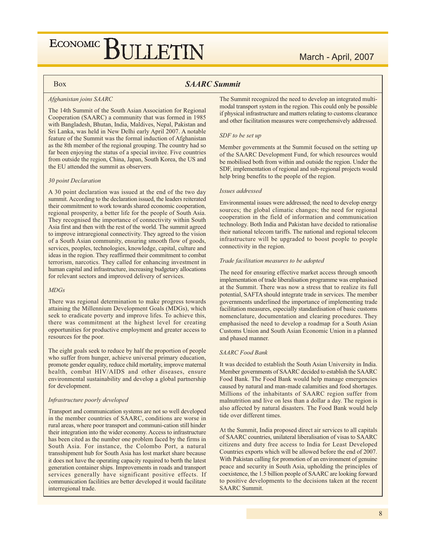### March - April, 2007

### **Box**

### **SAARC Summit**

#### Afghanistan joins SAARC

The 14th Summit of the South Asian Association for Regional Cooperation (SAARC) a community that was formed in 1985 with Bangladesh, Bhutan, India, Maldives, Nepal, Pakistan and Sri Lanka, was held in New Delhi early April 2007. A notable feature of the Summit was the formal induction of Afghanistan as the 8th member of the regional grouping. The country had so far been enjoying the status of a special invitee. Five countries from outside the region, China, Japan, South Korea, the US and the EU attended the summit as observers.

#### 30 point Declaration

A 30 point declaration was issued at the end of the two day summit. According to the declaration issued, the leaders reiterated their commitment to work towards shared economic cooperation, regional prosperity, a better life for the people of South Asia. They recognised the importance of connectivity within South Asia first and then with the rest of the world. The summit agreed to improve intraregional connectivity. They agreed to the vision of a South Asian community, ensuring smooth flow of goods, services, peoples, technologies, knowledge, capital, culture and ideas in the region. They reaffirmed their commitment to combat terrorism, narcotics. They called for enhancing investment in human capital and infrastructure, increasing budgetary allocations for relevant sectors and improved delivery of services.

#### $MDGs$

There was regional determination to make progress towards attaining the Millennium Development Goals (MDGs), which seek to eradicate poverty and improve lifes. To achieve this, there was commitment at the highest level for creating opportunities for productive employment and greater access to resources for the poor.

The eight goals seek to reduce by half the proportion of people who suffer from hunger, achieve universal primary education, promote gender equality, reduce child mortality, improve maternal health, combat HIV/AIDS and other diseases, ensure environmental sustainability and develop a global partnership for development.

#### Infrastructure poorly developed

Transport and communication systems are not so well developed in the member countries of SAARC, conditions are worse in rural areas, where poor transport and communi-cation still hinder their integration into the wider economy. Access to infrastructure has been cited as the number one problem faced by the firms in South Asia. For instance, the Colombo Port, a natural transshipment hub for South Asia has lost market share because it does not have the operating capacity required to berth the latest generation container ships. Improvements in roads and transport services generally have significant positive effects. If communication facilities are better developed it would facilitate interregional trade.

The Summit recognized the need to develop an integrated multimodal transport system in the region. This could only be possible if physical infrastructure and matters relating to customs clearance and other facilitation measures were comprehensively addressed.

#### SDF to be set up

Member governments at the Summit focused on the setting up of the SAARC Development Fund, for which resources would be mobilised both from within and outside the region. Under the SDF, implementation of regional and sub-regional projects would help bring benefits to the people of the region.

#### Issues addressed

Environmental issues were addressed; the need to develop energy sources; the global climatic changes; the need for regional cooperation in the field of information and communication technology. Both India and Pakistan have decided to rationalise their national telecom tariffs. The national and regional telecom infrastructure will be upgraded to boost people to people connectivity in the region.

#### Trade facilitation measures to be adopted

The need for ensuring effective market access through smooth implementation of trade liberalisation programme was emphasised at the Summit. There was now a stress that to realize its full potential, SAFTA should integrate trade in services. The member governments underlined the importance of implementing trade facilitation measures, especially standardisation of basic customs nomenclature, documentation and clearing procedures. They emphasised the need to develop a roadmap for a South Asian Customs Union and South Asian Economic Union in a planned and phased manner.

#### **SAARC Food Bank**

It was decided to establish the South Asian University in India. Member governments of SAARC decided to establish the SAARC Food Bank. The Food Bank would help manage emergencies caused by natural and man-made calamities and food shortages. Millions of the inhabitants of SAARC region suffer from malnutrition and live on less than a dollar a day. The region is also affected by natural disasters. The Food Bank would help tide over different times.

At the Summit, India proposed direct air services to all capitals of SAARC countries, unilateral liberalisation of visas to SAARC citizens and duty free access to India for Least Developed Countries exports which will be allowed before the end of 2007. With Pakistan calling for promotion of an environment of genuine peace and security in South Asia, upholding the principles of coexistence, the 1.5 billion people of SAARC are looking forward to positive developments to the decisions taken at the recent **SAARC Summit.**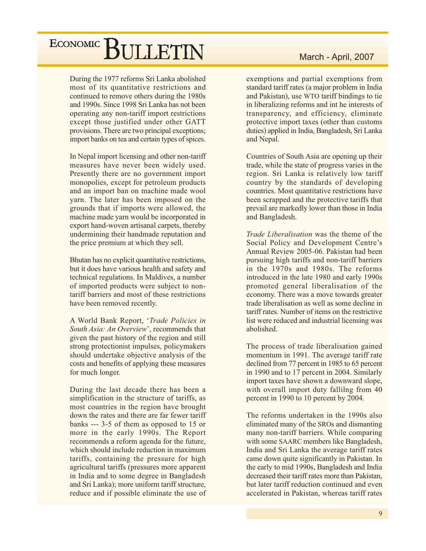During the 1977 reforms Sri Lanka abolished most of its quantitative restrictions and continued to remove others during the 1980s and 1990s. Since 1998 Sri Lanka has not been operating any non-tariff import restrictions except those justified under other GATT provisions. There are two principal exceptions; import banks on tea and certain types of spices.

In Nepal import licensing and other non-tariff measures have never been widely used. Presently there are no government import monopolies, except for petroleum products and an import ban on machine made wool varn. The later has been imposed on the grounds that if imports were allowed, the machine made yarn would be incorporated in export hand-woven artisanal carpets, thereby undermining their handmade reputation and the price premium at which they sell.

Bhutan has no explicit quantitative restrictions, but it does have various health and safety and technical regulations. In Maldives, a number of imported products were subject to nontariff barriers and most of these restrictions have been removed recently.

A World Bank Report, 'Trade Policies in South Asia: An Overview', recommends that given the past history of the region and still strong protectionist impulses, policymakers should undertake objective analysis of the costs and benefits of applying these measures for much longer.

During the last decade there has been a simplification in the structure of tariffs, as most countries in the region have brought down the rates and there are far fewer tariff banks ---  $3-5$  of them as opposed to 15 or more in the early 1990s. The Report recommends a reform agenda for the future, which should include reduction in maximum tariffs, containing the pressure for high agricultural tariffs (pressures more apparent in India and to some degree in Bangladesh and Sri Lanka); more uniform tariff structure, reduce and if possible eliminate the use of

### March - April, 2007

exemptions and partial exemptions from standard tariff rates (a major problem in India and Pakistan), use WTO tariff bindings to tie in liberalizing reforms and int he interests of transparency, and efficiency, eliminate protective import taxes (other than customs duties) applied in India, Bangladesh, Sri Lanka and Nepal.

Countries of South Asia are opening up their trade, while the state of progress varies in the region. Sri Lanka is relatively low tariff country by the standards of developing countries. Most quantitative restrictions have been scrapped and the protective tariffs that prevail are markedly lower than those in India and Bangladesh.

Trade Liberalisation was the theme of the Social Policy and Development Centre's Annual Review 2005-06. Pakistan had been pursuing high tariffs and non-tariff barriers in the 1970s and 1980s. The reforms introduced in the late 1980 and early 1990s promoted general liberalisation of the economy. There was a move towards greater trade liberalisation as well as some decline in tariff rates. Number of items on the restrictive list were reduced and industrial licensing was abolished.

The process of trade liberalisation gained momentum in 1991. The average tariff rate declined from 77 percent in 1985 to 65 percent in 1990 and to 17 percent in 2004. Similarly import taxes have shown a downward slope, with overall import duty fallilng from 40 percent in 1990 to 10 percent by 2004.

The reforms undertaken in the 1990s also eliminated many of the SROs and dismanting many non-tariff barriers. While comparing with some SAARC members like Bangladesh, India and Sri Lanka the average tariff rates came down quite significantly in Pakistan. In the early to mid 1990s, Bangladesh and India decreased their tariff rates more than Pakistan. but later tariff reduction continued and even accelerated in Pakistan, whereas tariff rates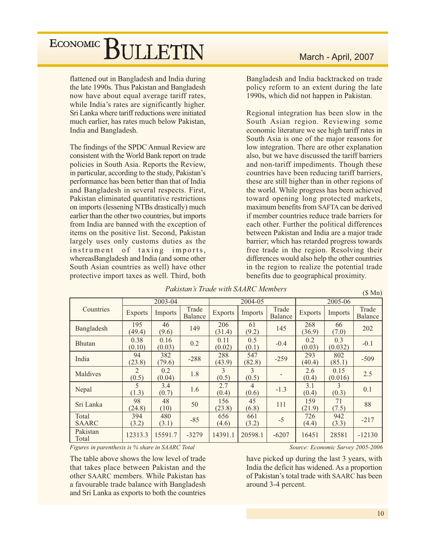flattened out in Bangladesh and India during the late 1990s. Thus Pakistan and Bangladesh now have about equal average tariff rates, while India's rates are significantly higher. Sri Lanka where tariff reductions were initiated much earlier, has rates much below Pakistan. India and Bangladesh.

The findings of the SPDC Annual Review are consistent with the World Bank report on trade policies in South Asia. Reports the Review, in particular, according to the study, Pakistan's performance has been better than that of India and Bangladesh in several respects. First, Pakistan eliminated quantitative restrictions on imports (lessening NTBs drastically) much earlier than the other two countries, but imports from India are banned with the exception of items on the positive list. Second, Pakistan largely uses only customs duties as the instrument of taxing imports, whereasBangladesh and India (and some other South Asian countries as well) have other protective import taxes as well. Third, both

### March - April, 2007

Bangladesh and India backtracked on trade policy reform to an extent during the late 1990s, which did not happen in Pakistan.

Regional integration has been slow in the South Asian region. Reviewing some economic literature we see high tariff rates in South Asia is one of the major reasons for low integration. There are other explanation also, but we have discussed the tariff barriers and non-tariff impediments. Though these countries have been reducing tariff barriers, these are still higher than in other regions of the world. While progress has been achieved toward opening long protected markets, maximum benefits from SAFTA can be derived if member countries reduce trade barriers for each other. Further the political differences between Pakistan and India are a major trade barrier; which has retarded progress towards free trade in the region. Resolving their differences would also help the other countries in the region to realize the potential trade benefits due to geographical proximity.

|                       |                                   | 2003-04        |                  |                | 2004-05       |                  | 2005-06        |                 |                  |
|-----------------------|-----------------------------------|----------------|------------------|----------------|---------------|------------------|----------------|-----------------|------------------|
| Countries             | <b>Exports</b>                    | Imports        | Trade<br>Balance | <b>Exports</b> | Imports       | Trade<br>Balance | <b>Exports</b> | Imports         | Trade<br>Balance |
| Bangladesh            | 195<br>(49.4)                     | 46<br>(9.6)    | 149              | 206<br>(31.4)  | 61<br>(9.2)   | 145              | 268<br>(36.9)  | 66<br>(7.0)     | 202              |
| <b>Bhutan</b>         | 0.38<br>(0.10)                    | 0.16<br>(0.03) | 0.2              | 0.11<br>(0.02) | 0.5<br>(0.1)  | $-0.4$           | 0.2<br>(0.03)  | 0.3<br>(0.032)  | $-0.1$           |
| India                 | 94<br>(23.8)                      | 382<br>(79.6)  | $-288$           | 288<br>(43.9)  | 547<br>(82.8) | $-259$           | 293<br>(40.4)  | 802<br>(85.1)   | $-509$           |
| Maldives              | 2<br>(0.5)                        | 0.2<br>(0.04)  | 1.8              | 3<br>(0.5)     | 3<br>(0.5)    |                  | 2.6<br>(0.4)   | 0.15<br>(0.016) | 2.5              |
| Nepal                 | $\overline{\mathcal{L}}$<br>(1.3) | 3.4<br>(0.7)   | 1.6              | 2.7<br>(0.4)   | 4<br>(0.6)    | $-1.3$           | 3.1<br>(0.4)   | 3<br>(0.3)      | 0.1              |
| Sri Lanka             | 98<br>(24.8)                      | 48<br>(10)     | 50               | 156<br>(23.8)  | 45<br>(6.8)   | 111              | 159<br>(21.9)  | 71<br>(7.5)     | 88               |
| Total<br><b>SAARC</b> | 394<br>(3.2)                      | 480<br>(3.1)   | $-85$            | 656<br>(4.6)   | 661<br>(3.2)  | $-5$             | 726<br>(4.4)   | 942<br>(3.3)    | $-217$           |
| Pakistan<br>Total     | 12313.3                           | 15591.7        | $-3279$          | 14391.1        | 20598.1       | $-6207$          | 16451          | 28581           | $-12130$         |

### Pakistan's Trade with SAARC Members

Figures in parenthesis is % share in SAARC Total

The table above shows the low level of trade that takes place between Pakistan and the other SAARC members. While Pakistan has a favourable trade balance with Bangladesh and Sri Lanka as exports to both the countries Source: Economic Survey 2005-2006

have picked up during the last 3 years, with India the deficit has widened. As a proportion of Pakistan's total trade with SAARC has been around 3-4 percent.

 $($Mn)$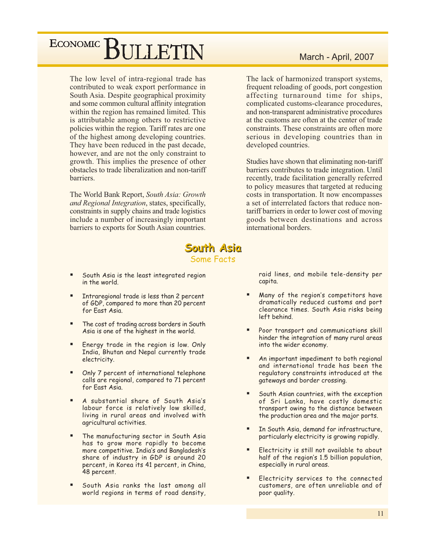The low level of intra-regional trade has contributed to weak export performance in South Asia. Despite geographical proximity and some common cultural affinity integration within the region has remained limited. This is attributable among others to restrictive policies within the region. Tariff rates are one of the highest among developing countries. They have been reduced in the past decade, however, and are not the only constraint to growth. This implies the presence of other obstacles to trade liberalization and non-tariff barriers.

The World Bank Report, South Asia: Growth and Regional Integration, states, specifically, constraints in supply chains and trade logistics include a number of increasingly important barriers to exports for South Asian countries.

### March - April, 2007

The lack of harmonized transport systems, frequent reloading of goods, port congestion affecting turnaround time for ships, complicated customs-clearance procedures, and non-transparent administrative procedures at the customs are often at the center of trade constraints. These constraints are often more serious in developing countries than in developed countries.

Studies have shown that eliminating non-tariff barriers contributes to trade integration. Until recently, trade facilitation generally referred to policy measures that targeted at reducing costs in transportation. It now encompasses a set of interrelated factors that reduce nontariff barriers in order to lower cost of moving goods between destinations and across international borders.

### South Asia **Some Facts**

- South Asia is the least integrated region in the world.
- Intraregional trade is less than 2 percent of GDP, compared to more than 20 percent for East Asia.
- The cost of trading across borders in South Asia is one of the highest in the world.
- Energy trade in the region is low. Only India, Bhutan and Nepal currently trade electricity.
- Only 7 percent of international telephone calls are regional, compared to 71 percent for East Asia.
- A substantial share of South Asia's labour force is relatively low skilled, living in rural areas and involved with agricultural activities.
- The manufacturing sector in South Asia has to grow more rapidly to become more competitive. India's and Bangladesh's share of industry in GDP is around 20 percent, in Korea its 41 percent, in China, 48 percent.
- South Asia ranks the last among all world regions in terms of road density,

raid lines, and mobile tele-density per capita.

- Many of the region's competitors have dramatically reduced customs and port clearance times. South Asia risks being left behind.
- Poor transport and communications skill  $\blacksquare$ hinder the integration of many rural areas into the wider economy.
- $\blacksquare$ An important impediment to both regional and international trade has been the regulatory constraints introduced at the gateways and border crossing.
- South Asian countries, with the exception of Sri Lanka, have costly domestic transport owing to the distance between the production area and the major ports.
- $\blacksquare$ In South Asia, demand for infrastructure, particularly electricity is growing rapidly.
- $\blacksquare$ Electricity is still not available to about half of the region's 1.5 billion population, especially in rural areas.
- Electricity services to the connected customers, are often unreliable and of poor quality.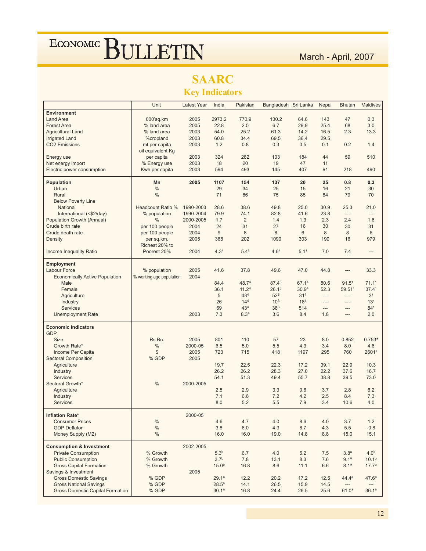## **SAARC**

**Key Indicators** 

|                                         | Unit                     | <b>Latest Year</b> | India             | Pakistan          | Bangladesh Sri Lanka |                   | <b>Nepal</b> | <b>Bhutan</b>            | <b>Maldives</b>    |
|-----------------------------------------|--------------------------|--------------------|-------------------|-------------------|----------------------|-------------------|--------------|--------------------------|--------------------|
| <b>Environment</b>                      |                          |                    |                   |                   |                      |                   |              |                          |                    |
| <b>Land Area</b>                        | 000'sq.km                | 2005               | 2973.2            | 770.9             | 130.2                | 64.6              | 143          | 47                       | 0.3                |
| <b>Forest Area</b>                      | % land area              | 2005               | 22.8              | 2.5               | 6.7                  | 29.9              | 25.4         | 68                       | 3.0                |
| <b>Agricultural Land</b>                | % land area              | 2003               | 54.0              | 25.2              | 61.3                 | 14.2              | 16.5         | 2.3                      | 13.3               |
| <b>Irrigated Land</b>                   | %cropland                | 2003               | 60.8              | 34.4              | 69.5                 | 36.4              | 29.5         |                          |                    |
| <b>CO2 Emissions</b>                    | mt per capita            | 2003               | 1.2               | 0.8               | 0.3                  | 0.5               | 0.1          | 0.2                      | 1.4                |
|                                         | oil equivalent Kg        |                    |                   |                   |                      |                   |              |                          |                    |
| Energy use                              | per capita               | 2003               | 324               | 282               | 103                  | 184               | 44           | 59                       | 510                |
| Net energy import                       | % Energy use             | 2003               | 18                | 20                | 19                   | 47                | 11           |                          |                    |
| Electric power consumption              | Kwh per capita           | 2003               | 594               | 493               | 145                  | 407               | 91           | 218                      | 490                |
|                                         |                          |                    |                   |                   |                      |                   |              |                          |                    |
| <b>Population</b>                       | Mn                       | 2005               | 1107              | 154               | 137                  | 20                | 25           | 0.8                      | 0.3                |
| Urban                                   | $\%$                     |                    | 29                | 34                | 25                   | 15                | 16           | 21                       | 30                 |
| Rural                                   | $\%$                     |                    | 71                | 66                | 75                   | 85                | 84           | 79                       | 70                 |
| <b>Below Poverty Line</b>               |                          |                    |                   |                   |                      |                   |              |                          |                    |
| National                                | Headcount Ratio %        | 1990-2003          | 28.6              | 38.6              | 49.8                 | 25.0              | 30.9         | 25.3                     | 21.0               |
|                                         |                          |                    | 79.9              |                   | 82.8                 |                   |              |                          |                    |
| International (<\$2/day)                | % population             | 1990-2004          |                   | 74.1              |                      | 41.6              | 23.8         | ---                      |                    |
| Population Growth (Annual)              | $\%$                     | 2000-2005          | 1.7               | $\overline{2}$    | 1.4                  | 1.3               | 2.3          | 2.4                      | 1.6                |
| Crude birth rate                        | per 100 people           | 2004               | 24                | 31                | 27                   | 16                | 30           | 30                       | 31                 |
| Crude death rate                        | per 100 people           | 2004               | 9                 | 8                 | $\boldsymbol{8}$     | $6\,$             | 8            | 8                        | 6                  |
| Density                                 | per sq.km.               | 2005               | 368               | 202               | 1090                 | 303               | 190          | 16                       | 979                |
|                                         | Richest 20% to           |                    |                   |                   |                      |                   |              |                          |                    |
| Income Inequality Ratio                 | Poorest 20%              | 2004               | 4.3 <sup>1</sup>  | $5.4^2$           | 4.6 <sup>1</sup>     | 5.11              | 7.0          | 7.4                      | $\overline{a}$     |
|                                         |                          |                    |                   |                   |                      |                   |              |                          |                    |
| <b>Employment</b><br>Labour Force       |                          | 2005               | 41.6              | 37.8              |                      | 47.0              |              |                          |                    |
|                                         | % population             |                    |                   |                   | 49.6                 |                   | 44.8         | ---                      | 33.3               |
| <b>Economically Active Population</b>   | % working age population | 2004               |                   |                   |                      |                   |              |                          |                    |
| Male                                    |                          |                    | 84.4              | 48.74             | 87.43                | 67.14             | 80.6         | 91.5 <sup>1</sup>        | 71.11              |
| Female                                  |                          |                    | 36.1              | 11.2 <sup>4</sup> | 26.1 <sup>3</sup>    | 30.9 <sup>4</sup> | 52.3         | 59.511                   | 37.4 <sup>1</sup>  |
| Agriculture                             |                          |                    | 5                 | 43 <sup>4</sup>   | 52 <sup>3</sup>      | 31 <sup>4</sup>   | ---          | ---                      | 3 <sup>1</sup>     |
| Industry                                |                          |                    | 26                | 14 <sup>4</sup>   | $10^{3}$             | 18 <sup>4</sup>   | $---$        | $\overline{a}$           | 13 <sup>1</sup>    |
| <b>Services</b>                         |                          |                    | 69                | 43 <sup>4</sup>   | 383                  | 514               | ---          | ---                      | 841                |
| <b>Unemployment Rate</b>                |                          | 2003               | 7.3               | 8.3 <sup>4</sup>  | 3.6                  | 8.4               | 1.8          | $\overline{a}$           | 2.0                |
| <b>Economic Indicators</b>              |                          |                    |                   |                   |                      |                   |              |                          |                    |
| <b>GDP</b>                              |                          |                    |                   |                   |                      |                   |              |                          |                    |
|                                         | Rs Bn.                   | 2005               | 801               | 110               | 57                   | 23                |              |                          |                    |
| <b>Size</b>                             |                          |                    |                   |                   |                      |                   | 8.0          | 0.852                    | 0.753 <sup>a</sup> |
| Growth Rate*                            | $\%$                     | 2000-05            | 6.5               | 5.0               | 5.5                  | 4.3               | 3.4          | 8.0                      | 4.6                |
| Income Per Capita                       | \$                       | 2005               | 723               | 715               | 418                  | 1197              | 295          | 760                      | 2601 <sup>a</sup>  |
| <b>Sectoral Composition</b>             | % GDP                    | 2005               |                   |                   |                      |                   |              |                          |                    |
| Agriculture                             |                          |                    | 19.7              | 22.5              | 22.3                 | 17.2              | 39.1         | 22.9                     | 10.3               |
| Industry                                |                          |                    | 26.2              | 26.2              | 28.3                 | 27.0              | 22.2         | 37.6                     | 16.7               |
| <b>Services</b>                         |                          |                    | 54.1              | 51.3              | 49.4                 | 55.7              | 38.8         | 39.5                     | 73.0               |
| Sectoral Growth*                        | $\%$                     | 2000-2005          |                   |                   |                      |                   |              |                          |                    |
| Agriculture                             |                          |                    | 2.5               | 2.9               | 3.3                  | 0.6               | 3.7          | 2.8                      | 6.2                |
| Industry                                |                          |                    | 7.1               | 6.6               | 7.2                  | 4.2               | 2.5          | 8.4                      | 7.3                |
| <b>Services</b>                         |                          |                    | 8.0               | 5.2               | 5.5                  | 7.9               | 3.4          | 10.6                     | 4.0                |
|                                         |                          |                    |                   |                   |                      |                   |              |                          |                    |
| <b>Inflation Rate*</b>                  |                          | 2000-05            |                   |                   |                      |                   |              |                          |                    |
| <b>Consumer Prices</b>                  | $\%$                     |                    | 4.6               | 4.7               | 4.0                  | 8.6               | 4.0          | 3.7                      | 1.2                |
| <b>GDP Deflator</b>                     | $\%$                     |                    | 3.8               | 6.0               | 4.3                  | 8.7               | 4.3          | 5.5                      | $-0.8$             |
| Money Supply (M2)                       | $\%$                     |                    | 16.0              | 16.0              | 19.0                 | 14.8              | 8.8          | 15.0                     | 15.1               |
|                                         |                          |                    |                   |                   |                      |                   |              |                          |                    |
| <b>Consumption &amp; Investment</b>     |                          | 2002-2005          |                   |                   |                      |                   |              |                          |                    |
| <b>Private Consumption</b>              | % Growth                 |                    | 5.3 <sup>b</sup>  | 6.7               | 4.0                  | 5.2               | 7.5          | 3.8 <sup>a</sup>         | 4.0 <sup>b</sup>   |
| <b>Public Consumption</b>               | % Growth                 |                    | 3.7 <sup>b</sup>  | 7.8               | 13.1                 | 8.3               | 7.6          | 9.1 <sup>a</sup>         | 10.1 <sup>b</sup>  |
| <b>Gross Capital Formation</b>          | % Growth                 |                    | 15.0 <sup>b</sup> | 16.8              | 8.6                  | 11.1              | 6.6          | 8.1 <sup>a</sup>         | 17.7 <sup>b</sup>  |
| Savings & Investment                    |                          | 2005               |                   |                   |                      |                   |              |                          |                    |
| <b>Gross Domestic Savings</b>           | % GDP                    |                    | 29.1 <sup>a</sup> | 12.2              | 20.2                 | 17.2              | 12.5         | $44.4^a$                 | 47.6 <sup>a</sup>  |
| <b>Gross National Savings</b>           | % GDP                    |                    | $28.5^{\circ}$    | 14.1              | 26.5                 | 15.9              | 14.5         | $\hspace{0.05cm} \ldots$ |                    |
| <b>Gross Domestic Capital Formation</b> | % GDP                    |                    | 30.1 <sup>a</sup> | 16.8              | 24.4                 | 26.5              | 25.6         | 61.0 <sup>a</sup>        | 36.1 <sup>a</sup>  |
|                                         |                          |                    |                   |                   |                      |                   |              |                          |                    |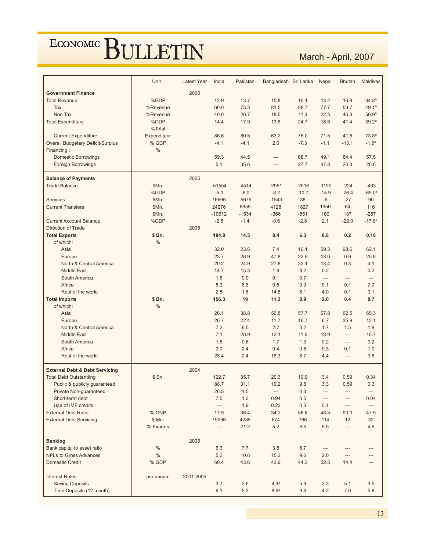March - April, 2007

|                                           | Unit        | <b>Latest Year</b> | India                    | Pakistan | Bangladesh Sri Lanka |            | Nepal      | <b>Bhutan</b>            | <b>Maldives</b>   |
|-------------------------------------------|-------------|--------------------|--------------------------|----------|----------------------|------------|------------|--------------------------|-------------------|
| <b>Government Finance</b>                 |             | 2005               |                          |          |                      |            |            |                          |                   |
| <b>Total Revenue</b>                      | %GDP        |                    | 12.9                     | 13.7     | 15.8                 | 16.1       | 13.2       | 16.8                     | 34.8 <sup>a</sup> |
| Tax                                       | %Revenue    |                    | 60.0                     | 73.3     | 81.5                 | 88.7       | 77.7       | 53.7                     | 49.1 <sup>a</sup> |
| Non Tax                                   | %Revenue    |                    | 40.0                     | 26.7     | 18.5                 | 11.3       | 22.3       | 46.3                     | 50.9 <sup>a</sup> |
| <b>Total Expenditure</b>                  | %GDP        |                    | 14.4                     | 17.9     | 13.8                 | 24.7       | 16.6       | 41.4                     | 39.2 <sup>a</sup> |
|                                           | %Total      |                    |                          |          |                      |            |            |                          |                   |
| <b>Current Expenditure</b>                | Expenditure |                    | 86.6                     | 80.5     | 63.2                 | 76.0       | 71.5       | 41.8                     | 73.8 <sup>a</sup> |
| <b>Overall Budgetary Deficit/Surplus</b>  | % GDP       |                    | $-4.1$                   | $-4.1$   | 2.0                  | $-7.3$     | $-1.1$     | $-13.1$                  | $-1.6a$           |
| Financing:                                | $\%$        |                    |                          |          |                      |            |            |                          |                   |
| <b>Domestic Borrowings</b>                |             |                    | 59.3                     | 44.5     | ---                  | 68.7       | 49.1       | 84.4                     | 57.5              |
| <b>Foreign Borrowings</b>                 |             |                    | 5.1                      | 35.6     | ---                  | 27.7       | 47.8       | 20.3                     | 20.6              |
|                                           |             |                    |                          |          |                      |            |            |                          |                   |
| <b>Balance of Payments</b>                |             | 2005               |                          |          |                      |            |            |                          |                   |
| <b>Trade Balance</b>                      | \$Mn.       |                    | $-51554$                 | $-4514$  | $-2951$              | $-2516$    | $-1190$    | $-224$                   | $-493$            |
|                                           | %GDP        |                    | $-5.0$                   | $-6.0$   | $-8.2$               | $-10.7$    | $-15.9$    | $-26.4$                  | $-69.0a$          |
| <b>Services</b>                           | \$Mn.       |                    | 16666                    | $-5679$  | $-1543$              | 38         | -6         | $-27$                    | 90                |
| <b>Current Transfers</b>                  | \$Mn.       |                    | 24276                    | 8659     | 4128                 | 1827       | 1356       | 64                       | 116               |
|                                           | \$Mn.       |                    | $-10612$                 | $-1534$  | $-366$               | $-651$     | 160        | 187                      | $-287$            |
| <b>Current Account Balance</b>            | %GDP        |                    | $-2.5$                   | $-1.4$   | $-0.6$               | $-2.8$     | 2.1        | $-22.0$                  | $-17.8a$          |
| Direction of Trade                        |             | 2005               |                          |          |                      |            |            |                          |                   |
| <b>Total Exports</b>                      | \$ Bn.      |                    | 104.8                    | 14.5     | 8.4                  | 6.3        | 0.8        | 0.2                      | 0.16              |
| of which:                                 | $\%$        |                    |                          |          |                      |            |            |                          |                   |
| Asia                                      |             |                    | 32.0                     | 23.6     | 7.4                  | 16.1       | 59.3       | 98.6                     | 62.1              |
| Europe                                    |             |                    | 23.7                     | 26.9     | 47.8                 | 32.9       | 18.0       | 0.9                      | 25.6              |
| North & Central America                   |             |                    | 20.2                     | 24.9     | 27.8                 | 33.1       | 18.4       | 0.3                      | 4.1               |
| <b>Middle East</b>                        |             |                    | 14.7                     | 15.3     | 1.6                  | 8.2        | 0.2        | ---                      | 0.2               |
| South America                             |             |                    | 1.6                      | 0.9      | 0.1                  | 0.7        | ---        | ---                      | ---               |
| Africa                                    |             |                    | 5.3                      | 6.8      | 0.5                  | 0.9        | 0.1        | 0.1                      | 7.9               |
| Rest of the world                         |             |                    | 2.5                      | 1.6      | 14.8                 | 8.1        | 4.0        | 0.1                      | 0.1               |
| <b>Total Imports</b>                      | \$ Bn.      |                    | 156.3                    | 19       | 11.3                 | 8.9        | 2.0        | 0.4                      | 0.7               |
| of which:                                 | $\%$        |                    |                          |          |                      |            |            |                          |                   |
| Asia                                      |             |                    | 26.1                     | 38.8     | 56.8                 | 57.7       | 67.8       | 62.5                     | 65.3              |
| Europe                                    |             |                    | 26.7                     | 22.4     | 11.7                 | 16.7       | 6.7        | 35.9                     | 12.1              |
| North & Central America                   |             |                    | 7.2                      | 6.5      | 2.7                  | 3.2        | 1.7        | 1.5                      | 1.9               |
| <b>Middle East</b>                        |             |                    | 7.1                      | 26.9     | 12.1                 | 11.6       | 18.9       | $\overline{\phantom{a}}$ | 15.7              |
| South America                             |             |                    | 1.5                      | 0.6      | 1.7                  | 1.3        | 0.2        | ---                      | 0.2               |
| Africa<br>Rest of the world               |             |                    | 3.0                      | 2.4      | 0.4                  | 0.8<br>8.7 | 0.3<br>4.4 | 0.1<br>---               | 1.0<br>3.8        |
|                                           |             |                    | 28.4                     | 2.4      | 16.3                 |            |            |                          |                   |
| <b>External Debt &amp; Debt Servicing</b> |             | 2004               |                          |          |                      |            |            |                          |                   |
| <b>Total Debt Outstanding</b>             | \$ Bn.      |                    | 122.7                    | 35.7     | 20.3                 | 10.9       | 3.4        | 0.59                     | 0.34              |
| Public & publicly guaranteed              |             |                    | 88.7                     | 31.1     | 19.2                 | 9.8        | 3.3        | 0.59                     | 0.3               |
| Private Non-guaranteed                    |             |                    | 26.5                     | 1.5      | ---                  | 0.3        |            | ---                      | ---               |
| Short-term debt                           |             |                    | 7.5                      | $1.2\,$  | 0.94                 | 0.5        |            | ---                      | 0.04              |
| Use of IMF credits                        |             |                    | $\cdots$                 | 1.9      | 0.23                 | 0.3        | 0.1        | $\cdots$                 | $-\cdots$         |
| <b>External Debt Ratio</b>                | % GNP       |                    | 17.9                     | 36.4     | 34.2                 | 56.6       | 48.5       | 90.3                     | 47.9              |
| <b>External Debt Servicing</b>            | \$Mn.       |                    | 19096                    | 4285     | 674                  | 766        | 114        | 12                       | 32                |
|                                           | % Exports   |                    | $\hspace{0.05cm} \cdots$ | 21.2     | 5.2                  | 8.5        | $5.5\,$    | $\overline{\phantom{a}}$ | 4.6               |
| <b>Banking</b>                            |             | 2005               |                          |          |                      |            |            |                          |                   |
| Bank capital to asset ratio               | $\%$        |                    | 6.3                      | 7.7      | 3.8                  | 6.7        | ---        | ---                      | ---               |
| <b>NPLs to Gross Advances</b>             | $\%$        |                    | 5.2                      | 10.6     | 15.3                 | 9.6        | 2.0        | $\cdots$                 |                   |
| <b>Domestic Credit</b>                    | % GDP       |                    | 60.4                     | 43.6     | 43.9                 | 44.3       | 52.5       | 14.4                     | ---<br>---        |
|                                           |             |                    |                          |          |                      |            |            |                          |                   |
| <b>Interest Rates:</b>                    | per annum   | 2001-2005          |                          |          |                      |            |            |                          |                   |
| <b>Saving Deposits</b>                    |             |                    | 3.7                      | 2.6      | 4.3 <sup>x</sup>     | 5.9        | 3.3        | 5.1                      | 3.5               |
| Time Deposits (12 month)                  |             |                    | 6.1                      | 5.3      | 8.6 <sup>x</sup>     | 9.4        | 4.2        | 7.6                      | 5.8               |
|                                           |             |                    |                          |          |                      |            |            |                          |                   |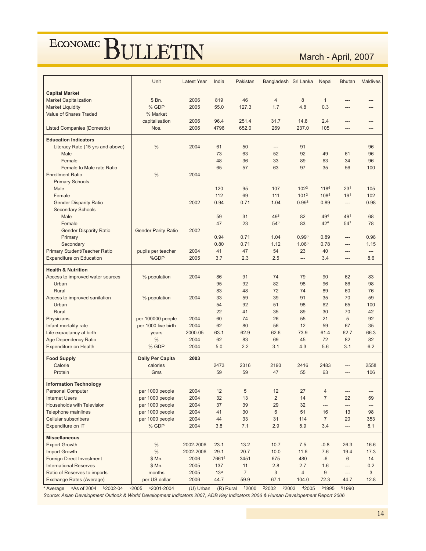March - April, 2007

|                                    | Unit                       | <b>Latest Year</b> | India           | Pakistan       | Bangladesh Sri Lanka |                   | Nepal                    | <b>Bhutan</b>            | <b>Maldives</b> |
|------------------------------------|----------------------------|--------------------|-----------------|----------------|----------------------|-------------------|--------------------------|--------------------------|-----------------|
| <b>Capital Market</b>              |                            |                    |                 |                |                      |                   |                          |                          |                 |
| <b>Market Capitalization</b>       | \$Bn.                      | 2006               | 819             | 46             | $\overline{4}$       | 8                 | $\mathbf{1}$             |                          |                 |
| <b>Market Liquidity</b>            | % GDP                      | 2005               | 55.0            | 127.3          | 1.7                  | 4.8               | 0.3                      | $---$                    | ---             |
| Value of Shares Traded             | % Market                   |                    |                 |                |                      |                   |                          |                          |                 |
|                                    | capitalisation             | 2006               | 96.4            | 251.4          | 31.7                 | 14.8              | 2.4                      |                          |                 |
| <b>Listed Companies (Domestic)</b> | Nos.                       | 2006               | 4796            | 652.0          | 269                  | 237.0             | 105                      | $---$                    | ---             |
| <b>Education Indicators</b>        |                            |                    |                 |                |                      |                   |                          |                          |                 |
| Literacy Rate (15 yrs and above)   | $\frac{0}{0}$              | 2004               | 61              | 50             | ---                  | 91                |                          |                          | 96              |
| Male                               |                            |                    | 73              | 63             | 52                   | 92                | 49                       | 61                       | 96              |
| Female                             |                            |                    | 48              | 36             | 33                   | 89                | 63                       | 34                       | 96              |
| Female to Male rate Ratio          |                            |                    | 65              | 57             | 63                   | 97                | 35                       | 56                       | 100             |
| <b>Enrollment Ratio</b>            | $\frac{0}{0}$              | 2004               |                 |                |                      |                   |                          |                          |                 |
| <b>Primary Schools</b>             |                            |                    |                 |                |                      |                   |                          |                          |                 |
| Male                               |                            |                    | 120             | 95             | 107                  | 102 <sup>3</sup>  | 1184                     | 23 <sup>1</sup>          | 105             |
| Female                             |                            |                    | 112             | 69             | 111                  | 101 <sup>3</sup>  | 1084                     | 19 <sup>1</sup>          | 102             |
| <b>Gender Disparity Ratio</b>      |                            | 2002               | 0.94            | 0.71           | 1.04                 | 0.99 <sup>3</sup> | 0.89                     | ---                      | 0.98            |
| <b>Secondary Schools</b>           |                            |                    |                 |                |                      |                   |                          |                          |                 |
| Male                               |                            |                    | 59              | 31             | 493                  | 82                | 494                      | 491                      | 68              |
| Female                             |                            |                    | 47              | 23             | $54^{3}$             | 83                | $42^{4}$                 | 54 <sup>1</sup>          | 78              |
| <b>Gender Disparity Ratio</b>      | <b>Gender Parity Ratio</b> | 2002               |                 |                |                      |                   |                          |                          |                 |
| Primary                            |                            |                    | 0.94            | 0.71           | 1.04                 | 0.99 <sup>3</sup> | 0.89                     | $\overline{a}$           | 0.98            |
| Secondary                          |                            |                    | 0.80            | 0.71           | 1.12                 | 1.06 <sup>3</sup> | 0.78                     | ---                      | 1.15            |
| Primary Student/Teacher Ratio      | pupils per teacher         | 2004               | 41              | 47             | 54                   | 23                | 40                       | $---$                    | ---             |
| <b>Expenditure on Education</b>    | %GDP                       | 2005               | 3.7             | 2.3            | 2.5                  | ---               | 3.4                      | $\overline{a}$           | 8.6             |
| <b>Health &amp; Nutrition</b>      |                            |                    |                 |                |                      |                   |                          |                          |                 |
| Access to improved water sources   | % population               | 2004               | 86              | 91             | 74                   | 79                | 90                       | 62                       | 83              |
| Urban                              |                            |                    | 95              | 92             | 82                   | 98                | 96                       | 86                       | 98              |
| Rural                              |                            |                    | 83              | 48             | 72                   | 74                | 89                       | 60                       | 76              |
| Access to improved sanitation      | % population               | 2004               | 33              | 59             | 39                   | 91                | 35                       | 70                       | 59              |
| Urban                              |                            |                    | 54              | 92             | 51                   | 98                | 62                       | 65                       | 100             |
| Rural                              |                            |                    | 22              | 41             | 35                   | 89                | 30                       | 70                       | 42              |
| Physicians                         | per 100000 people          | 2004               | 60              | 74             | 26                   | 55                | 21                       | 5                        | 92              |
| Infant mortality rate              | per 1000 live birth        | 2004               | 62              | 80             | 56                   | 12                | 59                       | 67                       | 35              |
| Life expactancy at birth           | years                      | 2000-05            | 63.1            | 62.9           | 62.6                 | 73.9              | 61.4                     | 62.7                     | 66.3            |
| Age Dependency Ratio               | %                          | 2004               | 62              | 83             | 69                   | 45                | 72                       | 82                       | 82              |
| <b>Expenditure on Health</b>       | % GDP                      | 2004               | 5.0             | 2.2            | 3.1                  | 4.3               | 5.6                      | 3.1                      | 6.2             |
| <b>Food Supply</b>                 | <b>Daily Per Capita</b>    | 2003               |                 |                |                      |                   |                          |                          |                 |
| Calorie                            | calories                   |                    | 2473            | 2316           | 2193                 | 2416              | 2483                     |                          | 2558            |
| Protein                            | Gms                        |                    | 59              | 59             | 47                   | 55                | 63                       | $---$                    | 106             |
| <b>Information Technology</b>      |                            |                    |                 |                |                      |                   |                          |                          |                 |
| <b>Personal Computer</b>           | per 1000 people            | 2004               | 12              | $\sqrt{5}$     | 12                   | 27                | $\overline{4}$           | $\qquad \qquad \cdots$   |                 |
| <b>Internet Users</b>              | per 1000 people            | 2004               | 32              | 13             | $\overline{2}$       | 14                | $\overline{7}$           | 22                       | 59              |
| Households with Television         | per 1000 people            | 2004               | 37              | 39             | 29                   | 32                | $\overline{\phantom{a}}$ | $\overline{\phantom{a}}$ | ---             |
| <b>Telephone mainlines</b>         | per 1000 people            | 2004               | 41              | 30             | 6                    | 51                | 16                       | 13                       | 98              |
| <b>Cellular subscribers</b>        | per 1000 people            | 2004               | 44              | 33             | 31                   | 114               | $\overline{7}$           | 20                       | 353             |
| Expenditure on IT                  | % GDP                      | 2004               | 3.8             | 7.1            | 2.9                  | 5.9               | 3.4                      | $\overline{\phantom{a}}$ | 8.1             |
| <b>Miscellaneous</b>               |                            |                    |                 |                |                      |                   |                          |                          |                 |
| <b>Export Growth</b>               | $\%$                       | 2002-2006          | 23.1            | 13.2           | 10.7                 | 7.5               | $-0.8$                   | 26.3                     | 16.6            |
| Import Growth                      | $\%$                       | 2002-2006          | 29.1            | 20.7           | 10.0                 | 11.6              | $7.6\,$                  | 19.4                     | 17.3            |
| <b>Foreign Direct Investment</b>   | \$Mn.                      | 2006               | 76614           | 3451           | 675                  | 480               | $-6$                     | 6                        | 14              |
| <b>International Reserves</b>      | \$ Mn.                     | 2005               | 137             | 11             | 2.8                  | 2.7               | 1.6                      | ---                      | 0.2             |
| Ratio of Reserves to imports       | months                     | 2005               | 13 <sup>a</sup> | $\overline{7}$ | 3                    | $\overline{4}$    | 9                        | $\overline{\phantom{a}}$ | 3               |
| Exchange Rates (Average)           | per US dollar              | 2006               | 44.7            | 59.9           | 67.1                 | 104.0             | 72.3                     | 44.7                     | 12.8            |

\*Average <sup>a</sup>As of 2004 <sup>b</sup>2002-04 °2005 <sup>x</sup>2001-2004 (U) Urban (R) Rural 12000 <sup>2</sup>2002 <sup>3</sup>2003 <sup>4</sup>2005 <sup>5</sup>1995 <sup>6</sup>1990 Source: Asian Development Outlook & World Development Indicators 2007, ADB Key Indicators 2006 & Human Developement Report 2006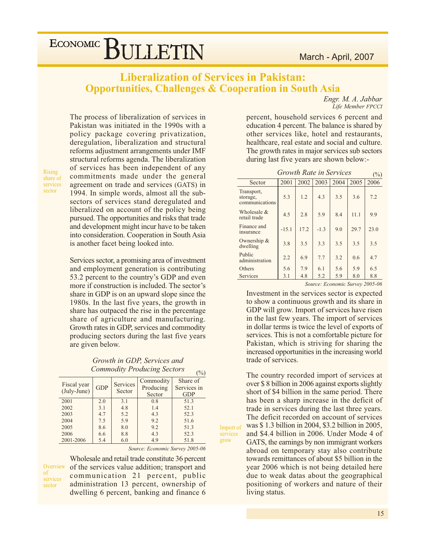Engr. M. A. Jabbar Life Member FPCCI

# ECONOMIC BULLETIN

## **Liberalization of Services in Pakistan: Opportunities, Challenges & Cooperation in South Asia**

The process of liberalization of services in Pakistan was initiated in the 1990s with a policy package covering privatization, deregulation, liberalization and structural reforms adjustment arrangements under IMF structural reforms agenda. The liberalization of services has been independent of any commitments made under the general agreement on trade and services (GATS) in 1994. In simple words, almost all the subsectors of services stand deregulated and liberalized on account of the policy being pursued. The opportunities and risks that trade and development might incur have to be taken into consideration. Cooperation in South Asia is another facet being looked into.

Services sector, a promising area of investment and employment generation is contributing 53.2 percent to the country's GDP and even more if construction is included. The sector's share in GDP is on an upward slope since the 1980s. In the last five years, the growth in share has outpaced the rise in the percentage share of agriculture and manufacturing. Growth rates in GDP, services and commodity producing sectors during the last five years are given below.

Growth in GDP, Services and **Commodity Producing Sectors** 

|                      |            |                 |           | $\sqrt{9}$  |
|----------------------|------------|-----------------|-----------|-------------|
| Fiscal year          |            | <b>Services</b> | Commodity | Share of    |
| $(\text{July-June})$ | <b>GDP</b> | Sector          | Producing | Services in |
|                      |            |                 | Sector    | <b>GDP</b>  |
| 2001                 | 2.0        | 3.1             | 0.8       | 51.3        |
| 2002                 | 3.1        | 4.8             | 1.4       | 52.1        |
| 2003                 | 4.7        | 5.2             | 4.3       | 52.3        |
| 2004                 | 7.5        | 5.9             | 9.2       | 51.6        |
| 2005                 | 8.6        | 8.0             | 9.2       | 51.3        |
| 2006                 | 6.6        | 8.8             | 4.3       | 52.3        |
| 2001-2006            | 5.4        | 6.0             | 4.9       | 51.8        |

Source: Economic Survey 2005-06

 $(0/2)$ 

Import of

services grow

Overview <sub>of</sub> services sector

Rising

sector

share of services

> Wholesale and retail trade constitute 36 percent of the services value addition; transport and communication 21 percent, public administration 13 percent, ownership of dwelling 6 percent, banking and finance 6

percent, household services 6 percent and education 4 percent. The balance is shared by other services like, hotel and restaurants, healthcare, real estate and social and culture. The growth rates in major services sub sectors during last five years are shown below:-

| <b>Growth Rate in Services</b><br>$(\%)$ |         |      |        |      |      |      |  |  |  |  |
|------------------------------------------|---------|------|--------|------|------|------|--|--|--|--|
| Sector                                   | 2001    | 2002 | 2003   | 2004 | 2005 | 2006 |  |  |  |  |
| Transport,<br>storage,<br>communications | 5.3     | 1.2  | 4.3    | 3.5  | 3.6  | 7.2  |  |  |  |  |
| Wholesale &<br>retail trade              | 4.5     | 2.8  | 5.9    | 8.4  | 11.1 | 9.9  |  |  |  |  |
| Finance and<br>insurance                 | $-15.1$ | 17.2 | $-1.3$ | 9.0  | 29.7 | 23.0 |  |  |  |  |
| Ownership &<br>dwelling                  | 3.8     | 3.5  | 3.3    | 3.5  | 3.5  | 3.5  |  |  |  |  |
| Public<br>administration                 | 2.2     | 6.9  | 7.7    | 3.2  | 0.6  | 4.7  |  |  |  |  |
| Others                                   | 5.6     | 7.9  | 6.1    | 5.6  | 5.9  | 6.5  |  |  |  |  |
| Services                                 | 3.1     | 4.8  | 5.2    | 5.9  | 8.0  | 8.8  |  |  |  |  |

Source: Economic Survey 2005-06

Investment in the services sector is expected to show a continuous growth and its share in GDP will grow. Import of services have risen in the last few years. The import of services in dollar terms is twice the level of exports of services. This is not a comfortable picture for Pakistan, which is striving for sharing the increased opportunities in the increasing world trade of services.

The country recorded import of services at over \$8 billion in 2006 against exports slightly short of \$4 billion in the same period. There has been a sharp increase in the deficit of trade in services during the last three years. The deficit recorded on account of services was \$1.3 billion in 2004, \$3.2 billion in 2005, and \$4.4 billion in 2006. Under Mode 4 of GATS, the earnings by non immigrant workers abroad on temporary stay also contribute towards remittances of about \$5 billion in the year 2006 which is not being detailed here due to weak datas about the geographical positioning of workers and nature of their living status.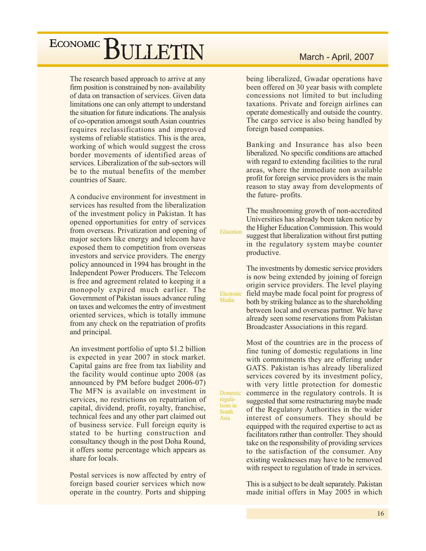The research based approach to arrive at any firm position is constrained by non-availability of data on transaction of services. Given data limitations one can only attempt to understand the situation for future indications. The analysis of co-operation amongst south Asian countries requires reclassifications and improved systems of reliable statistics. This is the area, working of which would suggest the cross border movements of identified areas of services. Liberalization of the sub-sectors will be to the mutual benefits of the member countries of Saarc.

A conducive environment for investment in services has resulted from the liberalization of the investment policy in Pakistan. It has opened opportunities for entry of services from overseas. Privatization and opening of major sectors like energy and telecom have exposed them to competition from overseas investors and service providers. The energy policy announced in 1994 has brought in the Independent Power Producers. The Telecom is free and agreement related to keeping it a monopoly expired much earlier. The Government of Pakistan issues advance ruling on taxes and welcomes the entry of investment oriented services, which is totally immune from any check on the repatriation of profits and principal.

An investment portfolio of upto \$1.2 billion is expected in year 2007 in stock market. Capital gains are free from tax liability and the facility would continue upto 2008 (as announced by PM before budget 2006-07) The MFN is available on investment in services, no restrictions on repatriation of capital, dividend, profit, royalty, franchise, technical fees and any other part claimed out of business service. Full foreign equity is stated to be hurting construction and consultancy though in the post Doha Round, it offers some percentage which appears as share for locals.

Postal services is now affected by entry of foreign based courier services which now operate in the country. Ports and shipping

### March - April, 2007

being liberalized, Gwadar operations have been offered on 30 year basis with complete concessions not limited to but including taxations. Private and foreign airlines can operate domestically and outside the country. The cargo service is also being handled by foreign based companies.

Banking and Insurance has also been liberalized. No specific conditions are attached with regard to extending facilities to the rural areas, where the immediate non available profit for foreign service providers is the main reason to stay away from developments of the future-profits.

The mushrooming growth of non-accredited Universities has already been taken notice by the Higher Education Commission. This would Education suggest that liberalization without first putting in the regulatory system maybe counter productive.

> The investments by domestic service providers is now being extended by joining of foreign origin service providers. The level playing field maybe made focal point for progress of both by striking balance as to the shareholding between local and overseas partner. We have already seen some reservations from Pakistan Broadcaster Associations in this regard.

Electronic

Domestic

regula-

tions in

South

Asia

Media

Most of the countries are in the process of fine tuning of domestic regulations in line with commitments they are offering under GATS. Pakistan is/has already liberalized services covered by its investment policy, with very little protection for domestic commerce in the regulatory controls. It is suggested that some restructuring maybe made of the Regulatory Authorities in the wider interest of consumers. They should be equipped with the required expertise to act as facilitators rather than controller. They should take on the responsibility of providing services to the satisfaction of the consumer. Any existing weaknesses may have to be removed with respect to regulation of trade in services.

This is a subject to be dealt separately. Pakistan made initial offers in May 2005 in which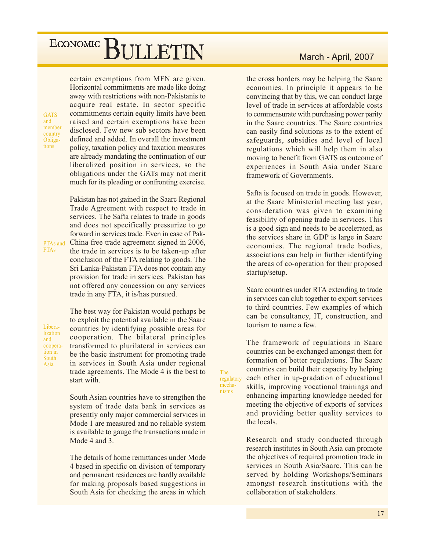certain exemptions from MFN are given. Horizontal commitments are made like doing away with restrictions with non-Pakistanis to acquire real estate. In sector specific commitments certain equity limits have been raised and certain exemptions have been disclosed. Few new sub sectors have been defined and added. In overall the investment policy, taxation policy and taxation measures are already mandating the continuation of our liberalized position in services, so the obligations under the GATs may not merit much for its pleading or confronting exercise.

Pakistan has not gained in the Saarc Regional Trade Agreement with respect to trade in services. The Safta relates to trade in goods and does not specifically pressurize to go forward in services trade. Even in case of Pak-China free trade agreement signed in 2006, the trade in services is to be taken-up after conclusion of the FTA relating to goods. The Sri Lanka-Pakistan FTA does not contain any provision for trade in services. Pakistan has not offered any concession on any services trade in any FTA, it is/has pursued.

Liberalization and cooperation in South Asia

PTAs and

**FTAs** 

**GATS** and

member

country

Obliga-

tions

The best way for Pakistan would perhaps be to exploit the potential available in the Saarc countries by identifying possible areas for cooperation. The bilateral principles transformed to plurilateral in services can be the basic instrument for promoting trade in services in South Asia under regional trade agreements. The Mode 4 is the best to start with.

South Asian countries have to strengthen the system of trade data bank in services as presently only major commercial services in Mode 1 are measured and no reliable system is available to gauge the transactions made in Mode 4 and 3.

The details of home remittances under Mode 4 based in specific on division of temporary and permanent residences are hardly available for making proposals based suggestions in South Asia for checking the areas in which

### March - April, 2007

the cross borders may be helping the Saarc economies. In principle it appears to be convincing that by this, we can conduct large level of trade in services at affordable costs to commensurate with purchasing power parity in the Saarc countries. The Saarc countries can easily find solutions as to the extent of safeguards, subsidies and level of local regulations which will help them in also moving to benefit from GATS as outcome of experiences in South Asia under Saarc framework of Governments.

Safta is focused on trade in goods. However, at the Saarc Ministerial meeting last year, consideration was given to examining feasibility of opening trade in services. This is a good sign and needs to be accelerated, as the services share in GDP is large in Saarc economies. The regional trade bodies, associations can help in further identifying the areas of co-operation for their proposed startup/setup.

Saarc countries under RTA extending to trade in services can club together to export services to third countries. Few examples of which can be consultancy, IT, construction, and tourism to name a few.

The framework of regulations in Saarc countries can be exchanged amongst them for formation of better regulations. The Saarc countries can build their capacity by helping each other in up-gradation of educational skills, improving vocational trainings and enhancing imparting knowledge needed for meeting the objective of exports of services and providing better quality services to the locals.

The regulatory

mecha-

nisms

Research and study conducted through research institutes in South Asia can promote the objectives of required promotion trade in services in South Asia/Saarc. This can be served by holding Workshops/Seminars amongst research institutions with the collaboration of stakeholders.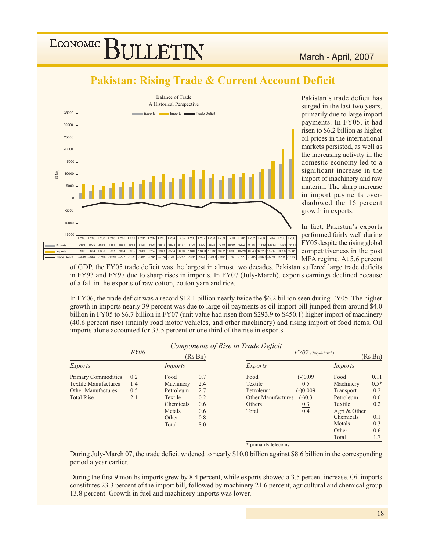## **Pakistan: Rising Trade & Current Account Deficit**



Pakistan's trade deficit has surged in the last two years, primarily due to large import payments. In FY05, it had risen to \$6.2 billion as higher oil prices in the international markets persisted, as well as the increasing activity in the domestic economy led to a significant increase in the import of machinery and raw material. The sharp increase in import payments overshadowed the 16 percent growth in exports.

In fact, Pakistan's exports performed fairly well during FY05 despite the rising global competitiveness in the post MFA regime. At 5.6 percent

of GDP, the FY05 trade deficit was the largest in almost two decades. Pakistan suffered large trade deficits in FY93 and FY97 due to sharp rises in imports. In FY07 (July-March), exports earnings declined because of a fall in the exports of raw cotton, cotton yarn and rice.

In FY06, the trade deficit was a record \$12.1 billion nearly twice the \$6.2 billion seen during FY05. The higher growth in imports nearly 39 percent was due to large oil payments as oil import bill jumped from around \$4.0 billion in FY05 to \$6.7 billion in FY07 (unit value had risen from \$293.9 to \$450.1) higher import of machinery (40.6 percent rise) (mainly road motor vehicles, and other machinery) and rising import of food items. Oil imports alone accounted for 33.5 percent or one third of the rise in exports.

 $\sqrt{2}$ 

|                             |             |           |                   | Components of Rise in Trade Deficit |                     |              |         |
|-----------------------------|-------------|-----------|-------------------|-------------------------------------|---------------------|--------------|---------|
|                             | <i>FY06</i> | (Rs Bn)   |                   |                                     | $FY07$ (July-March) |              | (Rs Bn) |
| <i>Exports</i>              |             | Imports   |                   | <i>Exports</i>                      |                     | Imports      |         |
| <b>Primary Commodities</b>  | 0.2         | Food      | 0.7               | Food                                | $(-)0.09$           | Food         | 0.11    |
| <b>Textile Manufactures</b> | 1.4         | Machinery | 2.4               | Textile                             | 0.5                 | Machinery    | $0.5*$  |
| Other Manufactures          | 0.5         | Petroleum | 2.7               | Petroleum                           | $(-)0.009$          | Transport    | 0.2     |
| <b>Total Rise</b>           | 2.1         | Textile   | 0.2               | <b>Other Manufactures</b>           | $(-)0.3$            | Petroleum    | 0.6     |
|                             |             | Chemicals | 0.6               | Others                              | 0.3                 | Textile      | 0.2     |
|                             |             | Metals    | 0.6               | Total                               | $\overline{0.4}$    | Agri & Other |         |
|                             |             | Other     |                   |                                     |                     | Chemicals    | 0.1     |
|                             |             | Total     | $\frac{0.8}{8.0}$ |                                     |                     | Metals       | 0.3     |
|                             |             |           |                   |                                     |                     | Other        | 0.6     |
|                             |             |           |                   |                                     |                     | Total        | 1.7     |
|                             |             |           |                   | * primarily telecoms                |                     |              |         |

During July-March 07, the trade deficit widened to nearly \$10.0 billion against \$8.6 billion in the corresponding period a year earlier.

During the first 9 months imports grew by 8.4 percent, while exports showed a 3.5 percent increase. Oil imports constitutes 23.3 percent of the import bill, followed by machinery 21.6 percent, agricultural and chemical group 13.8 percent. Growth in fuel and machinery imports was lower.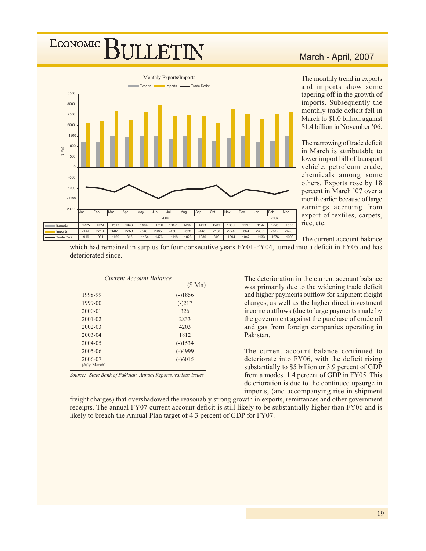## **ECONOMIC JLLETIN**



## March - April, 2007

The monthly trend in exports and imports show some tapering off in the growth of imports. Subsequently the monthly trade deficit fell in March to \$1.0 billion against \$1.4 billion in November '06.

The narrowing of trade deficit in March is attributable to lower import bill of transport vehicle, petroleum crude, chemicals among some others. Exports rose by 18 percent in March '07 over a month earlier because of large earnings accruing from export of textiles, carpets, rice, etc.

The current account balance

which had remained in surplus for four consecutive years FY01-FY04, turned into a deficit in FY05 and has deteriorated since.

|              | Current Account Balance |           |
|--------------|-------------------------|-----------|
|              |                         | (\$Mn)    |
| 1998-99      |                         | $(-)1856$ |
| 1999-00      |                         | $(-)217$  |
| $2000 - 01$  |                         | 326       |
| $2001 - 02$  |                         | 2833      |
| $2002 - 03$  |                         | 4203      |
| $2003 - 04$  |                         | 1812      |
| 2004-05      |                         | $(-)1534$ |
| 2005-06      |                         | $(-)4999$ |
| 2006-07      |                         | $(-)6015$ |
| (July-March) |                         |           |

Source: State Bank of Pakistan, Annual Reports, various issues

The deterioration in the current account balance was primarily due to the widening trade deficit and higher payments outflow for shipment freight charges, as well as the higher direct investment income outflows (due to large payments made by the government against the purchase of crude oil and gas from foreign companies operating in Pakistan.

The current account balance continued to deteriorate into FY06, with the deficit rising substantially to \$5 billion or 3.9 percent of GDP from a modest 1.4 percent of GDP in FY05. This deterioration is due to the continued upsurge in imports, (and accompanying rise in shipment

freight charges) that overshadowed the reasonably strong growth in exports, remittances and other government receipts. The annual FY07 current account deficit is still likely to be substantially higher than FY06 and is likely to breach the Annual Plan target of 4.3 percent of GDP for FY07.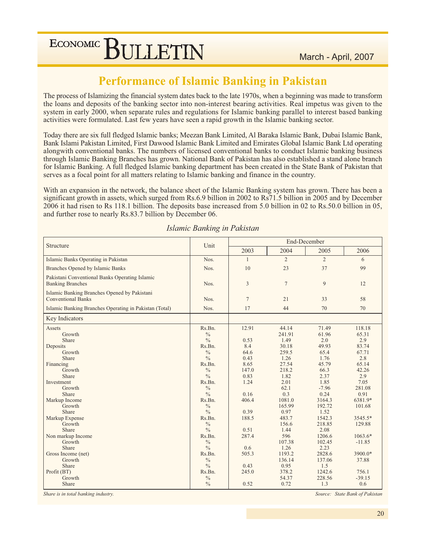## **Performance of Islamic Banking in Pakistan**

The process of Islamizing the financial system dates back to the late 1970s, when a beginning was made to transform the loans and deposits of the banking sector into non-interest bearing activities. Real impetus was given to the system in early 2000, when separate rules and regulations for Islamic banking parallel to interest based banking activities were formulated. Last few years have seen a rapid growth in the Islamic banking sector.

Today there are six full fledged Islamic banks; Meezan Bank Limited, Al Baraka Islamic Bank, Dubai Islamic Bank, Bank Islami Pakistan Limited, First Dawood Islamic Bank Limited and Emirates Global Islamic Bank Ltd operating alongwith conventional banks. The numbers of licensed conventional banks to conduct Islamic banking business through Islamic Banking Branches has grown. National Bank of Pakistan has also established a stand alone branch for Islamic Banking. A full fledged Islamic banking department has been created in the State Bank of Pakistan that serves as a focal point for all matters relating to Islamic banking and finance in the country.

With an expansion in the network, the balance sheet of the Islamic Banking system has grown. There has been a significant growth in assets, which surged from Rs.6.9 billion in 2002 to Rs71.5 billion in 2005 and by December 2006 it had risen to Rs 118.1 billion. The deposits base increased from 5.0 billion in 02 to Rs.50.0 billion in 05, and further rose to nearly Rs.83.7 billion by December 06.

|                                                                           | Unit                                               |                      | End-December                     |                                |                                 |  |  |
|---------------------------------------------------------------------------|----------------------------------------------------|----------------------|----------------------------------|--------------------------------|---------------------------------|--|--|
| Structure                                                                 |                                                    | 2003                 | 2004                             | 2005                           | 2006                            |  |  |
| Islamic Banks Operating in Pakistan                                       | Nos.                                               | 1                    | $\overline{2}$                   | 2                              | 6                               |  |  |
| <b>Branches Opened by Islamic Banks</b>                                   | Nos.                                               | 10                   | 23                               | 37                             | 99                              |  |  |
| Pakistani Conventional Banks Operating Islamic<br><b>Banking Branches</b> | Nos.                                               | 3                    | $\tau$                           | 9                              | 12                              |  |  |
| Islamic Banking Branches Opened by Pakistani<br><b>Conventional Banks</b> | Nos.                                               | $7\phantom{.0}$      | 21                               | 33                             | 58                              |  |  |
| Islamic Banking Branches Operating in Pakistan (Total)                    | Nos.                                               | 17                   | 44                               | 70                             | 70                              |  |  |
| Key Indicators                                                            |                                                    |                      |                                  |                                |                                 |  |  |
| Assets<br>Growth<br>Share<br>Deposits                                     | Rs.Bn.<br>$\frac{0}{0}$<br>$\frac{0}{0}$<br>Rs.Bn. | 12.91<br>0.53<br>8.4 | 44.14<br>241.91<br>1.49<br>30.18 | 71.49<br>61.96<br>2.0<br>49.93 | 118.18<br>65.31<br>2.9<br>83.74 |  |  |
| Growth<br>Share                                                           | $\frac{0}{0}$<br>$\frac{0}{0}$                     | 64.6<br>0.43         | 259.5<br>1.26                    | 65.4<br>1.76                   | 67.71<br>2.8                    |  |  |
| Financing<br>Growth                                                       | Rs.Bn.<br>$\frac{0}{0}$                            | 8.65<br>147.0        | 27.54<br>218.2                   | 45.79<br>66.3                  | 65.14<br>42.26                  |  |  |
| Share<br>Investment                                                       | $\frac{0}{0}$<br>Rs.Bn.                            | 0.83<br>1.24         | 1.82<br>2.01                     | 2.37<br>1.85                   | 2.9<br>7.05                     |  |  |
| Growth<br>Share                                                           | $\frac{0}{0}$<br>$\frac{0}{0}$                     | 0.16                 | 62.1<br>0.3                      | $-7.96$<br>0.24                | 281.08<br>0.91                  |  |  |
| Markup Income<br>Growth                                                   | Rs.Bn.<br>$\frac{0}{0}$                            | 406.4                | 1081.0<br>165.99                 | 3164.3<br>192.72               | 6381.9*<br>101.68               |  |  |
| Share                                                                     | $\frac{0}{0}$                                      | 0.39                 | 0.97                             | 1.52                           |                                 |  |  |
| Markup Expense<br>Growth                                                  | Rs.Bn.<br>$\frac{0}{0}$                            | 188.5                | 483.7<br>156.6                   | 1542.3<br>218.85               | 3545.5*<br>129.88               |  |  |
| Share<br>Non markup Income<br>Growth                                      | $\frac{0}{0}$<br>Rs.Bn.<br>$\frac{0}{0}$           | 0.51<br>287.4        | 1.44<br>596<br>107.38            | 2.08<br>1206.6<br>102.45       | $1063.6*$<br>$-11.85$           |  |  |
| Share<br>Gross Income (net)                                               | $\frac{0}{0}$<br>Rs.Bn.                            | 0.6<br>505.3         | 1.26<br>1193.2                   | 2.23<br>2828.6                 | 3900.0*                         |  |  |
| Growth<br>Share                                                           | $\frac{0}{0}$<br>$\frac{0}{0}$                     | 0.43                 | 136.14<br>0.95                   | 137.06<br>1.5                  | 37.88                           |  |  |
| Profit (BT)<br>Growth                                                     | Rs.Bn.<br>$\frac{0}{0}$                            | 245.0                | 378.2<br>54.37                   | 1242.6<br>228.56               | 756.1<br>$-39.15$               |  |  |
| Share                                                                     | $\frac{0}{0}$                                      | 0.52                 | 0.72                             | 1.3                            | 0.6                             |  |  |

Islamic Banking in Pakistan

Share is in total banking industry.

Source: State Bank of Pakistan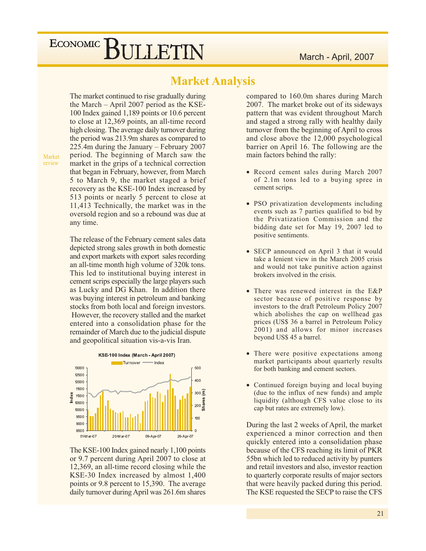## **Market Analysis**

The market continued to rise gradually during the March  $-$  April 2007 period as the KSE-100 Index gained 1,189 points or 10.6 percent to close at 12,369 points, an all-time record high closing. The average daily turnover during the period was 213.9m shares as compared to 225.4m during the January  $-$  February 2007 period. The beginning of March saw the market in the grips of a technical correction that began in February, however, from March 5 to March 9, the market staged a brief recovery as the KSE-100 Index increased by 513 points or nearly 5 percent to close at 11,413 Technically, the market was in the oversold region and so a rebound was due at any time.

The release of the February cement sales data depicted strong sales growth in both domestic and export markets with export sales recording an all-time month high volume of 320k tons. This led to institutional buying interest in cement scrips especially the large players such as Lucky and DG Khan. In addition there was buying interest in petroleum and banking stocks from both local and foreign investors. However, the recovery stalled and the market entered into a consolidation phase for the remainder of March due to the judicial dispute and geopolitical situation vis-a-vis Iran.



The KSE-100 Index gained nearly 1,100 points or 9.7 percent during April 2007 to close at 12,369, an all-time record closing while the KSE-30 Index increased by almost 1,400 points or 9.8 percent to 15,390. The average daily turnover during April was 261.6m shares

compared to 160.0m shares during March 2007. The market broke out of its sideways pattern that was evident throughout March and staged a strong rally with healthy daily turnover from the beginning of April to cross and close above the 12,000 psychological barrier on April 16. The following are the main factors behind the rally:

- Record cement sales during March 2007 of 2.1m tons led to a buying spree in cement scrips.
- PSO privatization developments including events such as 7 parties qualified to bid by the Privatization Commission and the bidding date set for May 19, 2007 led to positive sentiments.
- SECP announced on April 3 that it would take a lenient view in the March 2005 crisis and would not take punitive action against brokers involved in the crisis.
- There was renewed interest in the E&P sector because of positive response by investors to the draft Petroleum Policy 2007 which abolishes the cap on wellhead gas prices (US\$ 36 a barrel in Petroleum Policy 2001) and allows for minor increases beyond US\$ 45 a barrel.
- There were positive expectations among market participants about quarterly results for both banking and cement sectors.
- Continued foreign buying and local buying (due to the influx of new funds) and ample liquidity (although CFS value close to its cap but rates are extremely low).

During the last 2 weeks of April, the market experienced a minor correction and then quickly entered into a consolidation phase because of the CFS reaching its limit of PKR 55bn which led to reduced activity by punters and retail investors and also, investor reaction to quarterly corporate results of major sectors that were heavily packed during this period. The KSE requested the SECP to raise the CFS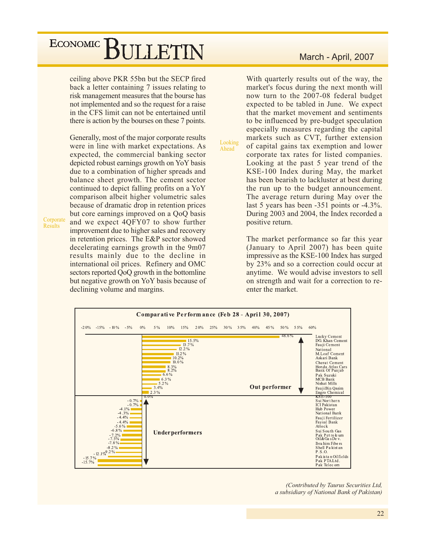ceiling above PKR 55bn but the SECP fired back a letter containing 7 issues relating to risk management measures that the bourse has not implemented and so the request for a raise in the CFS limit can not be entertained until there is action by the bourses on these 7 points.

Generally, most of the major corporate results were in line with market expectations. As expected, the commercial banking sector depicted robust earnings growth on YoY basis due to a combination of higher spreads and balance sheet growth. The cement sector continued to depict falling profits on a YoY comparison albeit higher volumetric sales because of dramatic drop in retention prices but core earnings improved on a QoQ basis and we expect 4QFY07 to show further improvement due to higher sales and recovery in retention prices. The E&P sector showed decelerating earnings growth in the 9m07 results mainly due to the decline in international oil prices. Refinery and OMC sectors reported QoQ growth in the bottomline but negative growth on YoY basis because of declining volume and margins.

Corporate Results

### March - April, 2007

With quarterly results out of the way, the market's focus during the next month will now turn to the 2007-08 federal budget expected to be tabled in June. We expect that the market movement and sentiments to be influenced by pre-budget speculation especially measures regarding the capital markets such as CVT, further extension Looking of capital gains tax exemption and lower corporate tax rates for listed companies. Looking at the past 5 year trend of the KSE-100 Index during May, the market has been bearish to lackluster at best during the run up to the budget announcement. The average return during May over the last 5 years has been  $-351$  points or  $-4.3\%$ . During 2003 and 2004, the Index recorded a positive return.

> The market performance so far this year (January to April 2007) has been quite impressive as the KSE-100 Index has surged by 23% and so a correction could occur at anytime. We would advise investors to sell on strength and wait for a correction to reenter the market.



Ahead

(Contributed by Taurus Securities Ltd, a subsidiary of National Bank of Pakistan)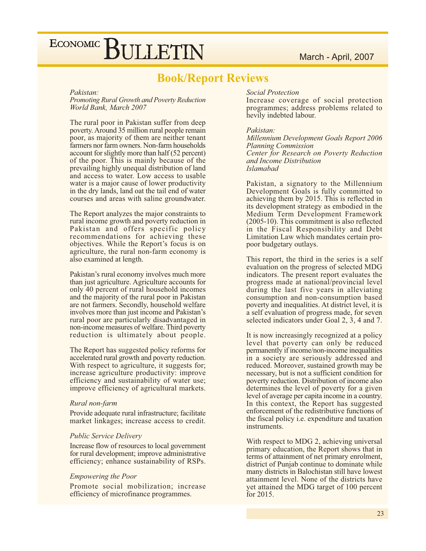## **Book/Report Reviews**

### Pakistan:

### Promoting Rural Growth and Poverty Reduction World Bank, March 2007

The rural poor in Pakistan suffer from deep poverty. Around 35 million rural people remain poor, as majority of them are neither tenant farmers nor farm owners. Non-farm households account for slightly more than half (52 percent) of the poor. This is mainly because of the prevailing highly unequal distribution of land and access to water. Low access to usable water is a major cause of lower productivity in the dry lands, land oat the tail end of water courses and areas with saline groundwater.

The Report analyzes the major constraints to rural income growth and poverty reduction in Pakistan and offers specific policy recommendations for achieving these objectives. While the Report's focus is on agriculture, the rural non-farm economy is also examined at length.

Pakistan's rural economy involves much more than just agriculture. Agriculture accounts for only 40 percent of rural household incomes and the majority of the rural poor in Pakistan are not farmers. Secondly, household welfare involves more than just income and Pakistan's rural poor are particularly disadvantaged in non-income measures of welfare. Third poverty reduction is ultimately about people.

The Report has suggested policy reforms for accelerated rural growth and poverty reduction. With respect to agriculture, it suggests for; increase agriculture productivity: improve efficiency and sustainability of water use; improve efficiency of agricultural markets.

### Rural non-farm

Provide adequate rural infrastructure; facilitate market linkages; increase access to credit.

### **Public Service Delivery**

Increase flow of resources to local government for rural development; improve administrative efficiency; enhance sustainability of RSPs.

### *Empowering the Poor*

Promote social mobilization; increase efficiency of microfinance programmes.

### **Social Protection**

Increase coverage of social protection programmes; address problems related to hevily indebted labour.

### Pakistan:

Millennium Development Goals Report 2006 **Planning Commission** Center for Research on Poverty Reduction and Income Distribution **Islamabad** 

Pakistan, a signatory to the Millennium Development Goals is fully committed to achieving them by 2015. This is reflected in its development strategy as embodied in the Medium Term Development Framework  $(2005-10)$ . This commitment is also reflected in the Fiscal Responsibility and Debt Limitation Law which mandates certain propoor budgetary outlays.

This report, the third in the series is a self evaluation on the progress of selected MDG indicators. The present report evaluates the progress made at national/provincial level during the last five years in alleviating consumption and non-consumption based poverty and inequalities. At district level, it is a self evaluation of progress made, for seven selected indicators under Goal 2, 3, 4 and 7.

It is now increasingly recognized at a policy level that poverty can only be reduced permanently if income/non-income inequalities in a society are seriously addressed and reduced. Moreover, sustained growth may be necessary, but is not a sufficient condition for poverty reduction. Distribution of income also determines the level of poverty for a given level of average per capita income in a country. In this context, the Report has suggested enforcement of the redistributive functions of the fiscal policy *i.e.* expenditure and taxation instruments.

With respect to MDG 2, achieving universal primary education, the Report shows that in terms of attainment of net primary enrolment, district of Punjab continue to dominate while many districts in Balochistan still have lowest attainment level. None of the districts have yet attained the MDG target of 100 percent for 2015.